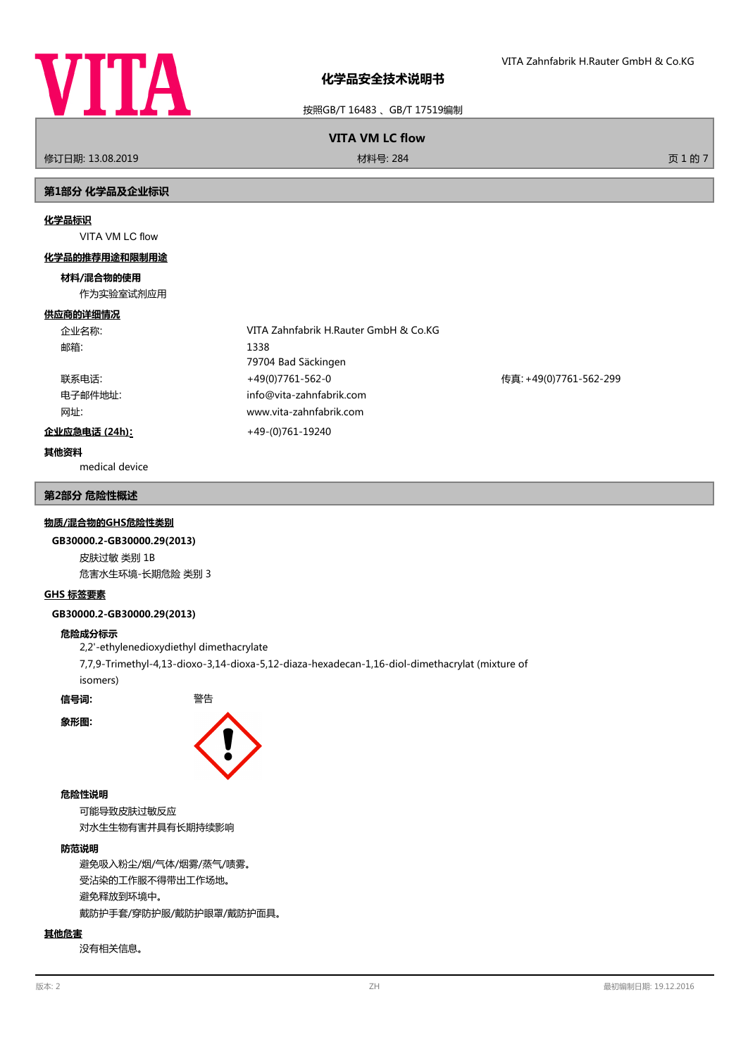

按照GB/T 16483 、GB/T 17519编制

# **VITA VM LC flow**

修订日期: 13.08.2019 材料号: 284 页 1 的 7

## **第1部分 化学品及企业标识**

#### **化学品标识**

VITA VM LC flow

#### **化学品的推荐用途和限制用途**

### **材料/混合物的使用**

作为实验室试剂应用

#### **供应商的详细情况**

| 企业名称:         | VITA Zahnfabrik H.Rauter GmbH & Co.KG |                        |
|---------------|---------------------------------------|------------------------|
| 邮箱:           | 1338                                  |                        |
|               | 79704 Bad Säckingen                   |                        |
| 联系电话:         | +49(0)7761-562-0                      | 传真: +49(0)7761-562-299 |
| 电子邮件地址:       | info@vita-zahnfabrik.com              |                        |
| 网址:           | www.vita-zahnfabrik.com               |                        |
| 企业应急电话 (24h): | +49-(0)761-19240                      |                        |

# **其他资料**

medical device

#### **第2部分 危险性概述**

### **物质/混合物的GHS危险性类别**

#### **GB30000.2-GB30000.29(2013)**

皮肤过敏 类别 1B 危害水生环境-长期危险 类别 3

#### **GHS 标签要素**

#### **GB30000.2-GB30000.29(2013)**

#### **危险成分标示**

2,2'-ethylenedioxydiethyl dimethacrylate 7,7,9-Trimethyl-4,13-dioxo-3,14-dioxa-5,12-diaza-hexadecan-1,16-diol-dimethacrylat (mixture of isomers)

**信号词:** 警告

**象形图:**



#### **危险性说明**

可能导致皮肤过敏反应 对水生生物有害并具有长期持续影响

# **防范说明**

避免吸入粉尘/烟/气体/烟雾/蒸气/啧雾。 受沾染的工作服不得带出工作场地。 避免释放到环境中。 戴防护手套/穿防护服/戴防护眼罩/戴防护面具。

#### **其他危害**

没有相关信息。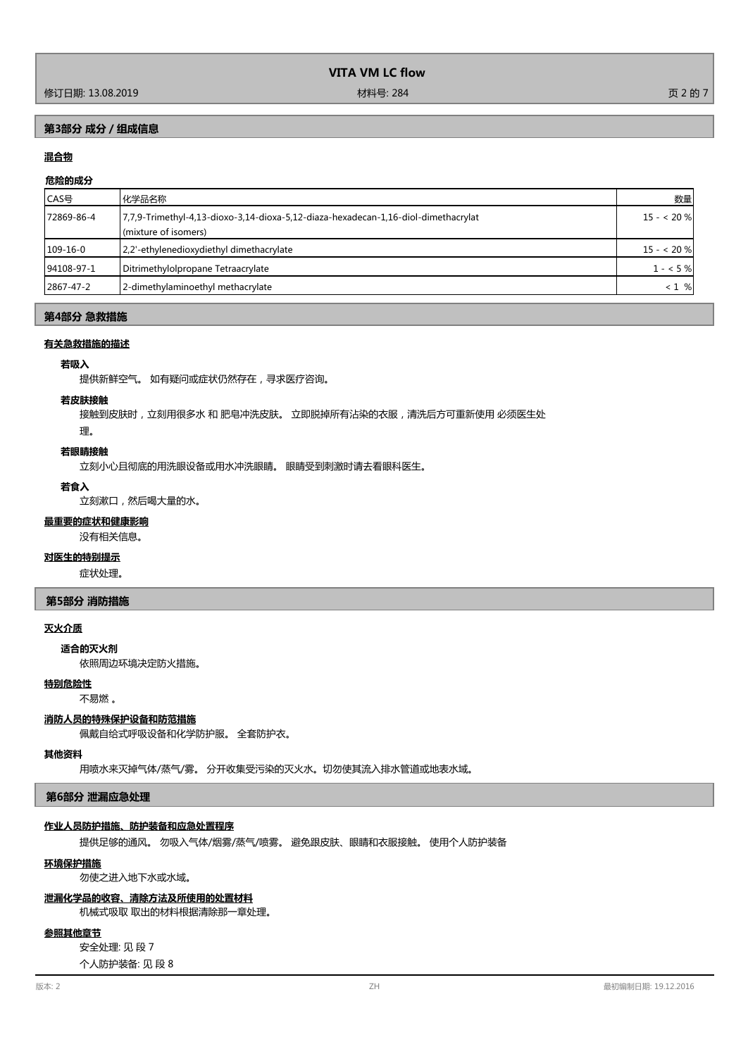# **第3部分 成分/组成信息**

# **混合物**

# **危险的成分**

| CAS号       | 化学品名称                                                                                                      | 数量         |
|------------|------------------------------------------------------------------------------------------------------------|------------|
| 72869-86-4 | 7,7,9-Trimethyl-4,13-dioxo-3,14-dioxa-5,12-diaza-hexadecan-1,16-diol-dimethacrylat<br>(mixture of isomers) | $15 - 20%$ |
| 109-16-0   | 2.2'-ethylenedioxydiethyl dimethacrylate                                                                   | $15 - 20%$ |
| 94108-97-1 | Ditrimethylolpropane Tetraacrylate                                                                         | $1 - 5%$   |
| 2867-47-2  | 2-dimethylaminoethyl methacrylate                                                                          | $< 1 \%$   |

# **第4部分 急救措施**

#### **有关急救措施的描述**

## **若吸入**

提供新鲜空气。 如有疑问或症状仍然存在,寻求医疗咨询。

#### **若皮肤接触**

接触到皮肤时,立刻用很多水和肥皂冲洗皮肤。 立即脱掉所有沾染的衣服,清洗后方可重新使用 必须医生处

## 理。

#### **若眼睛接触**

立刻小心且彻底的用洗眼设备或用水冲洗眼睛。 眼睛受到刺激时请去看眼科医生。

#### **若食入**

立刻漱口,然后喝大量的水。

# **最重要的症状和健康影响**

没有相关信息。

## **对医生的特别提示**

症状处理。

## **第5部分 消防措施**

# **灭火介质**

## **适合的灭火剂**

依照周边环境决定防火措施。

#### **特别危险性**

不易燃 。

# **消防人员的特殊保护设备和防范措施**

佩戴自给式呼吸设备和化学防护服。 全套防护衣。

#### **其他资料**

用喷水来灭掉气体/蒸气/雾。 分开收集受污染的灭火水。切勿使其流入排水管道或地表水域。

#### **第6部分 泄漏应急处理**

#### **作业人员防护措施、防护装备和应急处置程序**

提供足够的通风。 勿吸入气体/烟雾/蒸气/喷雾。 避免跟皮肤、眼睛和衣服接触。 使用个人防护装备

#### **环境保护措施**

勿使之进入地下水或水域。

#### **泄漏化学品的收容、清除方法及所使用的处置材料**

机械式吸取 取出的材料根据清除那一章处理。

## **参照其他章节**

安全处理: 见 段 7

个人防护装备: 见 段 8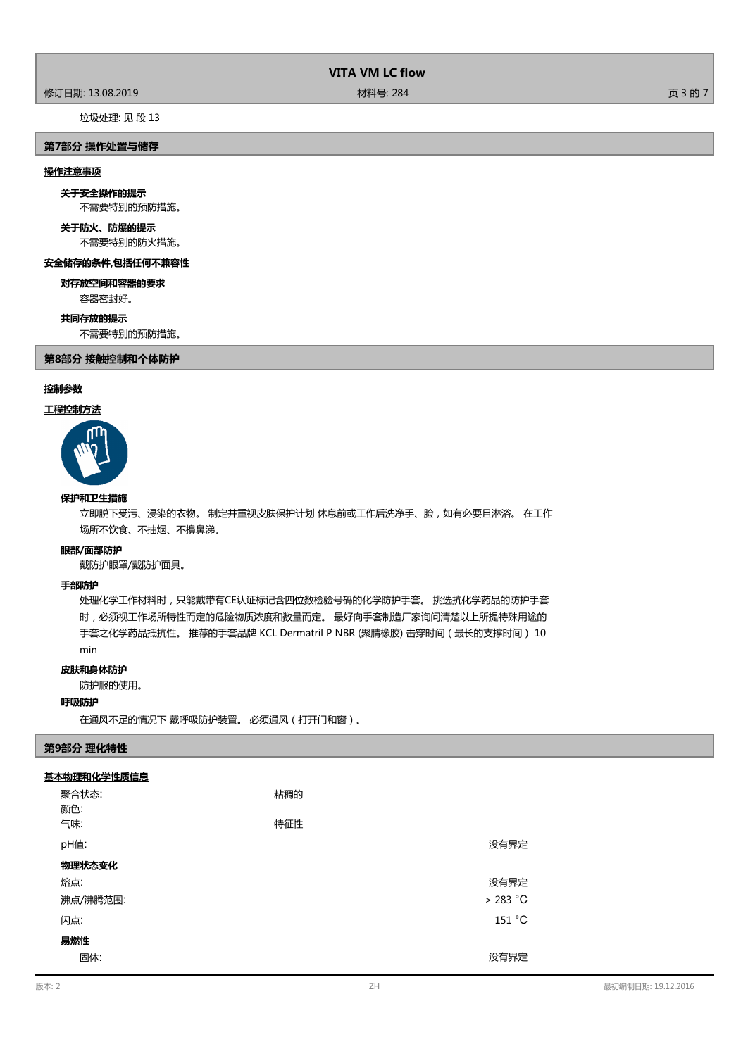# 修订日期: 13.08.2019 材料号: 284 页 3 的 7

# 垃圾处理: 见 段 13

## **第7部分 操作处置与储存**

#### **操作注意事项**

**关于安全操作的提示**

不需要特别的预防措施。

#### 不需要特别的防火措施。 **关于防火、防爆的提示**

**安全储存的条件,包括任何不兼容性 对存放空间和容器的要求**

容器密封好。

#### **共同存放的提示**

不需要特别的预防措施。

# **第8部分 接触控制和个体防护**

## **控制参数**

# **工程控制方法**



# **保护和卫生措施**

立即脱下受污、浸染的衣物。 制定并重视皮肤保护计划 休息前或工作后洗净手、脸,如有必要且淋浴。 在工作 场所不饮食、不抽烟、不擤鼻涕。

#### **眼部/面部防护**

戴防护眼罩/戴防护面具。

#### **手部防护**

处理化学工作材料时,只能戴带有CE认证标记含四位数检验号码的化学防护手套。 挑选抗化学药品的防护手套 时,必须视工作场所特性而定的危险物质浓度和数量而定。 最好向手套制造厂家询问清楚以上所提特殊用途的 手套之化学药品抵抗性。 推荐的手套品牌 KCL Dermatril P NBR (聚腈橡胶) 击穿时间(最长的支撑时间) 10 min

## **皮肤和身体防护**

防护服的使用。

## **呼吸防护**

在通风不足的情况下 戴呼吸防护装置。 必须通风(打开门和窗)。

# **第9部分 理化特性**

## **基本物理和化学性质信息**

| 聚合状态:<br>颜色:<br>气味: | 粘稠的<br>特征性 |           |
|---------------------|------------|-----------|
|                     |            |           |
| pH值:                |            | 没有界定      |
| 物理状态变化              |            |           |
| 熔点:                 |            | 没有界定      |
| 沸点/沸腾范围:            |            | $>283$ °C |
| 闪点:                 |            | 151 °C    |
| 易燃性                 |            |           |
| 固体:                 |            | 没有界定      |

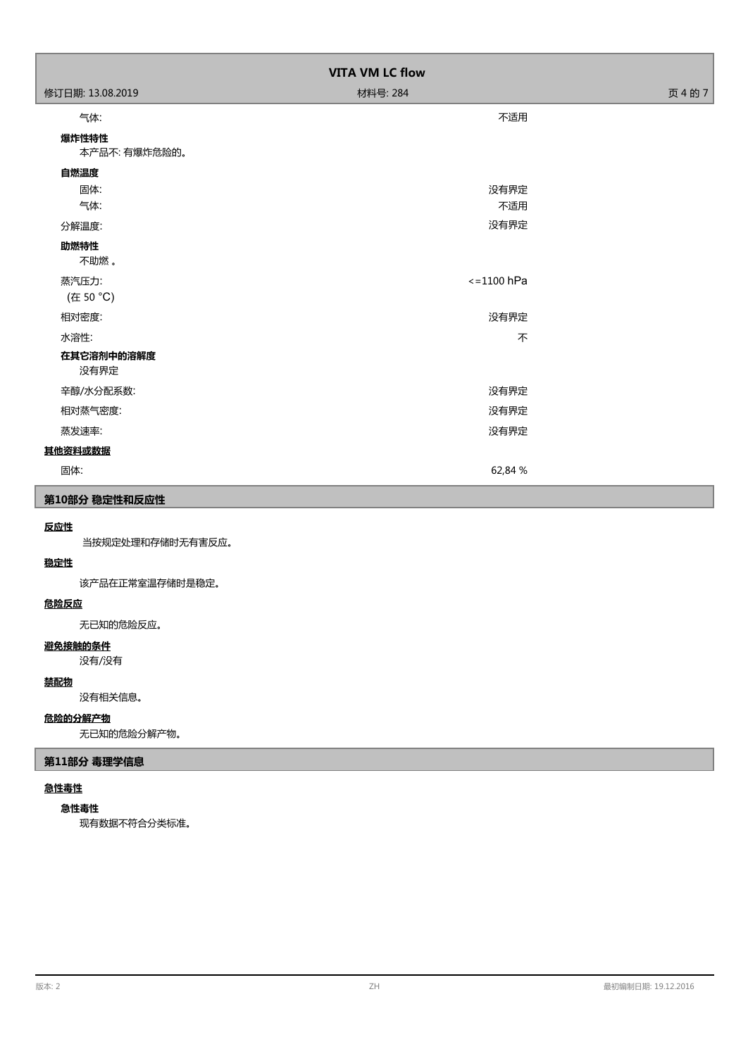| <b>VITA VM LC flow</b> |                      |         |  |
|------------------------|----------------------|---------|--|
| 修订日期: 13.08.2019       | 材料号: 284             | 页 4 的 7 |  |
| 气体:                    | 不适用                  |         |  |
| 爆炸性特性<br>本产品不: 有爆炸危险的。 |                      |         |  |
| 自燃温度                   |                      |         |  |
| 固体:                    | 没有界定                 |         |  |
| 气体:                    | 不适用                  |         |  |
| 分解温度:                  | 没有界定                 |         |  |
| 助燃特性<br>不助燃。           |                      |         |  |
| 蒸汽压力:<br>(在 50 °C)     | $\epsilon$ =1100 hPa |         |  |
| 相对密度:                  | 没有界定                 |         |  |
| 水溶性:                   | 不                    |         |  |
| 在其它溶剂中的溶解度<br>没有界定     |                      |         |  |
| 辛醇/水分配系数:              | 没有界定                 |         |  |
| 相对蒸气密度:                | 没有界定                 |         |  |
| 蒸发速率:                  | 没有界定                 |         |  |
| 其他资料或数据                |                      |         |  |
| 固体:                    | 62,84 %              |         |  |
| 第10部分 稳定性和反应性          |                      |         |  |

# **反应性**

当按规定处理和存储时无有害反应。

# **稳定性**

该产品在正常室温存储时是稳定。

# **危险反应**

无已知的危险反应。

# **避免接触的条件**

没有/没有

# **禁配物**

没有相关信息。

# **危险的分解产物**

无已知的危险分解产物。

# **第11部分 毒理学信息**

# **急性毒性**

## **急性毒性**

现有数据不符合分类标准。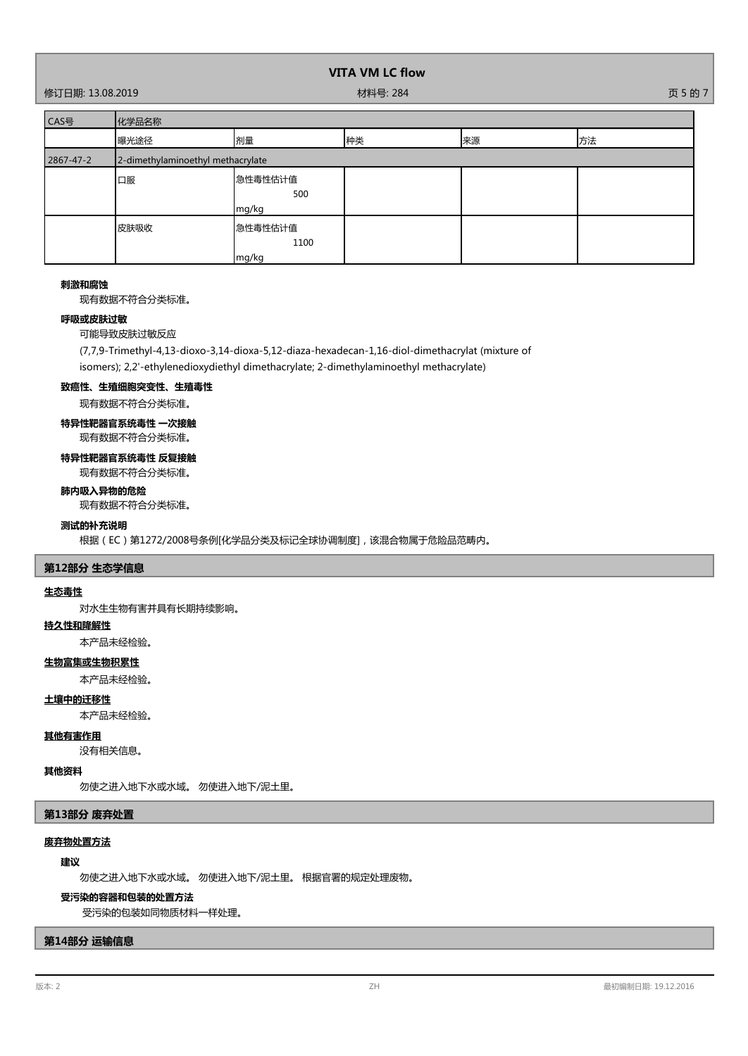修订日期: 13.08.2019 材料号: 284 页 5 的 7

| CAS号      | 化学品名称                             |                          |    |    |    |
|-----------|-----------------------------------|--------------------------|----|----|----|
|           | 曝光途径                              | 剂量                       | 种类 | 来源 | 方法 |
| 2867-47-2 | 2-dimethylaminoethyl methacrylate |                          |    |    |    |
|           | 口服                                | 急性毒性估计值<br>500<br>mg/kg  |    |    |    |
|           | 皮肤吸收                              | 急性毒性估计值<br>1100<br>mg/kg |    |    |    |

#### **刺激和腐蚀**

现有数据不符合分类标准。

## **呼吸或皮肤过敏**

可能导致皮肤过敏反应

(7,7,9-Trimethyl-4,13-dioxo-3,14-dioxa-5,12-diaza-hexadecan-1,16-diol-dimethacrylat (mixture of

isomers); 2,2'-ethylenedioxydiethyl dimethacrylate; 2-dimethylaminoethyl methacrylate)

# **致癌性、生殖细胞突变性、生殖毒性**

现有数据不符合分类标准。

# **特异性靶器官系统毒性 一次接触**

现有数据不符合分类标准。

# **特异性靶器官系统毒性 反复接触**

现有数据不符合分类标准。

# **肺内吸入异物的危险**

现有数据不符合分类标准。

# **测试的补充说明**

根据(EC)第1272/2008号条例[化学品分类及标记全球协调制度],该混合物属于危险品范畴内。

# **第12部分 生态学信息**

#### **生态毒性**

对水生生物有害并具有长期持续影响。

# **持久性和降解性**

本产品未经检验。

# **生物富集或生物积累性**

本产品未经检验。

# **土壤中的迁移性**

本产品未经检验。

## **其他有害作用**

没有相关信息。

## **其他资料**

勿使之进入地下水或水域。 勿使进入地下/泥土里。

# **第13部分 废弃处置**

# **废弃物处置方法**

# **建议**

勿使之进入地下水或水域。 勿使进入地下/泥土里。 根据官署的规定处理废物。

#### **受污染的容器和包装的处置方法**

受污染的包装如同物质材料一样处理。

## **第14部分 运输信息**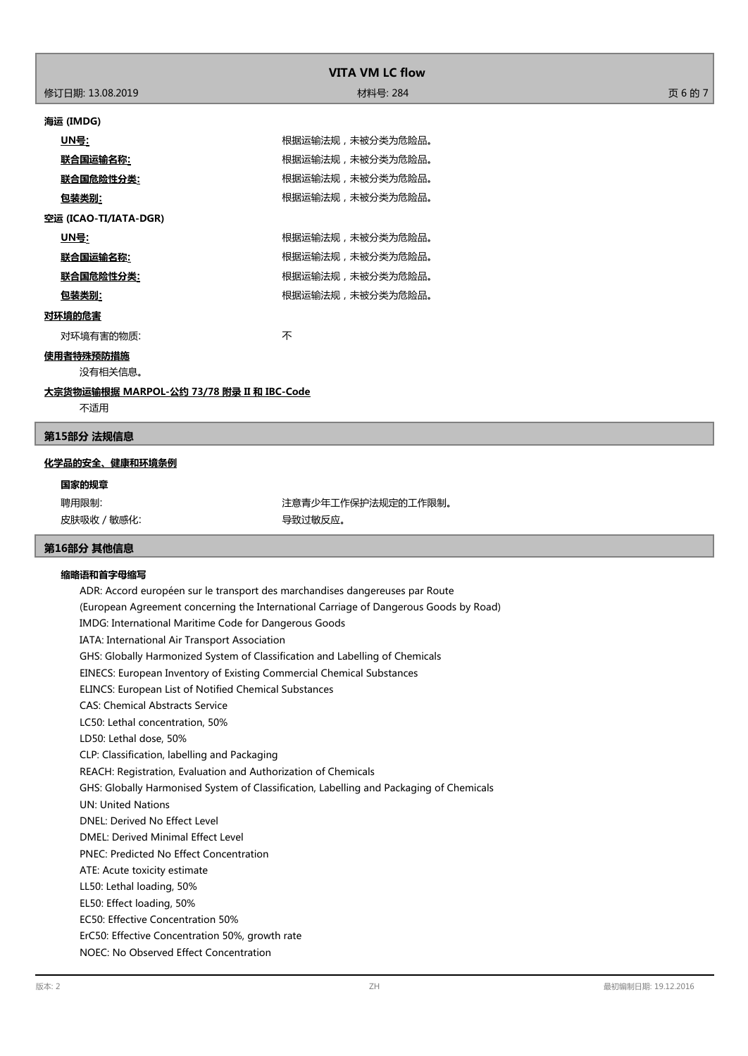| <b>VITA VM LC flow</b>                           |                  |         |  |
|--------------------------------------------------|------------------|---------|--|
| 修订日期: 13.08.2019                                 | 材料号: 284         | 页 6 的 7 |  |
| 海运 (IMDG)                                        |                  |         |  |
| <u> UN를:</u>                                     | 根据运输法规,未被分类为危险品。 |         |  |
| <u> 联合国运输名称:</u>                                 | 根据运输法规,未被分类为危险品。 |         |  |
| <u> 联合国危险性分类:</u>                                | 根据运输法规,未被分类为危险品。 |         |  |
| <u>包装类别:</u>                                     | 根据运输法规,未被分类为危险品。 |         |  |
| 空运 (ICAO-TI/IATA-DGR)                            |                  |         |  |
| <u> UN를:</u>                                     | 根据运输法规,未被分类为危险品。 |         |  |
| 联合国运输名称:                                         | 根据运输法规,未被分类为危险品。 |         |  |
| 联合国危险性分类:                                        | 根据运输法规,未被分类为危险品。 |         |  |
| 包装类别:                                            | 根据运输法规,未被分类为危险品。 |         |  |
| 对环境的危害                                           |                  |         |  |
| 对环境有害的物质:                                        | 不                |         |  |
| 使用者特殊预防措施<br>没有相关信息。                             |                  |         |  |
| <u>大宗货物运输根据 MARPOL-公约 73/78 附录 II 和 IBC-Code</u> |                  |         |  |

不适用

## **第15部分 法规信息**

## **化学品的安全、健康和环境条例**

**国家的规章**

皮肤吸收 / 敏感化: インチング インチング マンクロ マンクリン 导致过敏反应。

聘用限制: 第2022年 第2022年 第2022年工作保护法规定的工作限制。

# **第16部分 其他信息**

# **缩略语和首字母缩写**

ADR: Accord européen sur le transport des marchandises dangereuses par Route (European Agreement concerning the International Carriage of Dangerous Goods by Road) IMDG: International Maritime Code for Dangerous Goods IATA: International Air Transport Association GHS: Globally Harmonized System of Classification and Labelling of Chemicals EINECS: European Inventory of Existing Commercial Chemical Substances ELINCS: European List of Notified Chemical Substances CAS: Chemical Abstracts Service LC50: Lethal concentration, 50% LD50: Lethal dose, 50% CLP: Classification, labelling and Packaging REACH: Registration, Evaluation and Authorization of Chemicals GHS: Globally Harmonised System of Classification, Labelling and Packaging of Chemicals UN: United Nations DNEL: Derived No Effect Level DMEL: Derived Minimal Effect Level PNEC: Predicted No Effect Concentration ATE: Acute toxicity estimate LL50: Lethal loading, 50% EL50: Effect loading, 50% EC50: Effective Concentration 50% ErC50: Effective Concentration 50%, growth rate NOEC: No Observed Effect Concentration